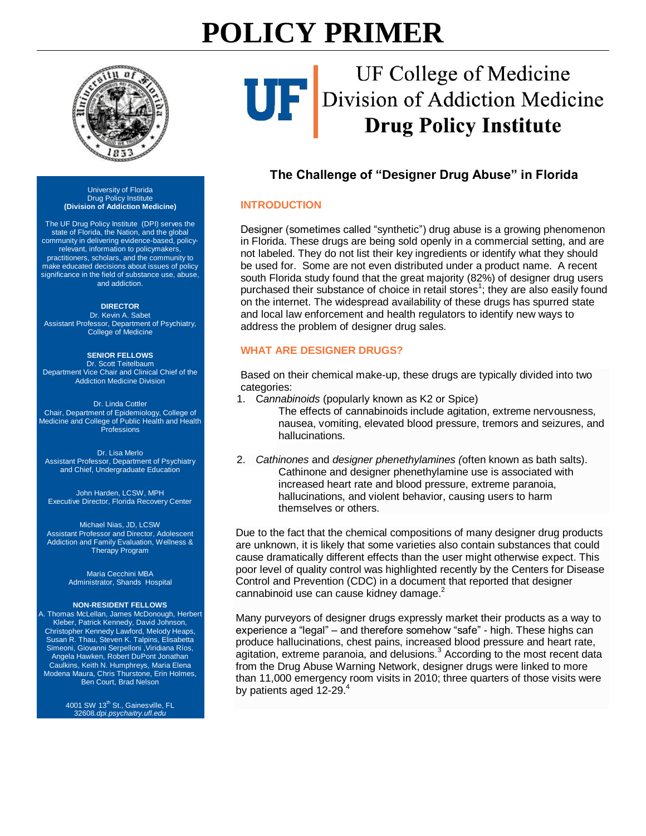# **POLICY PRIMER**



## UF College of Medicine UF Division of Addiction Medicine<br>Drug Policy Institute

### **The Challenge of "Designer Drug Abuse" in Florida**

#### **INTRODUCTION**

Designer (sometimes called "synthetic") drug abuse is a growing phenomenon in Florida. These drugs are being sold openly in a commercial setting, and are not labeled. They do not list their key ingredients or identify what they should be used for. Some are not even distributed under a product name. A recent south Florida study found that the great majority (82%) of designer drug users purchased their substance of choice in retail stores<sup>1</sup>; they are also easily found on the internet. The widespread availability of these drugs has spurred state and local law enforcement and health regulators to identify new ways to address the problem of designer drug sales.

#### **WHAT ARE DESIGNER DRUGS?**

Based on their chemical make-up, these drugs are typically divided into two categories:

1. C*annabinoids* (popularly known as K2 or Spice)

The effects of cannabinoids include agitation, extreme nervousness, nausea, vomiting, elevated blood pressure, tremors and seizures, and hallucinations.

2. *Cathinones* and *designer phenethylamines (*often known as bath salts). Cathinone and designer phenethylamine use is associated with increased heart rate and blood pressure, extreme paranoia, hallucinations, and violent behavior, causing users to harm themselves or others.

Due to the fact that the chemical compositions of many designer drug products are unknown, it is likely that some varieties also contain substances that could cause dramatically different effects than the user might otherwise expect. This poor level of quality control was highlighted recently by the Centers for Disease Control and Prevention (CDC) in a document that reported that designer cannabinoid use can cause kidney damage.<sup>2</sup>

Many purveyors of designer drugs expressly market their products as a way to experience a "legal" – and therefore somehow "safe" - high. These highs can produce hallucinations, chest pains, increased blood pressure and heart rate, agitation, extreme paranoia, and delusions.<sup>3</sup> According to the most recent data from the Drug Abuse Warning Network, designer drugs were linked to more than 11,000 emergency room visits in 2010; three quarters of those visits were by patients aged 12-29.<sup>4</sup>

#### University of Florida Drug Policy Institute **(Division of Addiction Medicine)**

The UF Drug Policy Institute (DPI) serves the state of Florida, the Nation, and the global community in delivering evidence-based, policyrelevant, information to policymakers, practitioners, scholars, and the community to make educated decisions about issues of policy significance in the field of substance use, abuse, and addiction.

#### **DIRECTOR**

[Dr. Kevin A. Sabet](http://kevinsabet.com/) Assistant Professor, Department of Psychiatry, College of Medicine

#### **SENIOR FELLOWS**

[Dr. Scott Teitelbaum](http://drscottteitelbaum.com/) Department Vice Chair and Clinical Chief of the Addiction Medicine Division

#### [Dr. Linda Cottler](http://mdc.mbi.ufl.edu/ufmdc-team/linda-cottler-phd-mph)

Chair, Department of Epidemiology, College of Medicine and College of Public Health and Health **Professions** 

[Dr. Lisa Merlo](http://psychiatry.ufl.edu/faculty-and-staff/directories/faculty/Merlo-Lisa/) Assistant Professor, Department of Psychiatry and Chief, Undergraduate Education

John Harden, LCSW, MPH Executive Director, Florida Recovery Center

#### [Michael Nias, JD, LCSW](http://psychiatry.ufl.edu/faculty-and-staff/directories/faculty/Nias-Michael/)

Assistant Professor and Director, Adolescent Addiction and Family Evaluation, Wellness & Therapy Program

> Maria Cecchini MBA Administrator, Shands Hospital

#### **NON-RESIDENT FELLOWS**

A. Thomas McLellan, James McDonough, Herbert Kleber, Patrick Kennedy, David Johnson, Christopher Kennedy Lawford, Melody Heaps, Susan R. Thau, Steven K. Talpins, Elisabetta Simeoni, Giovanni Serpelloni ,Viridiana Ríos, Angela Hawken, Robert DuPont Jonathan Caulkins, Keith N. Humphreys, Maria Elena Modena Maura, Chris Thurstone, Erin Holmes, Ben Court, Brad Nelson

> 4001 SW 13<sup>th</sup> St., Gainesville, FL 32608*.dpi.psychaitry.ufl.edu*